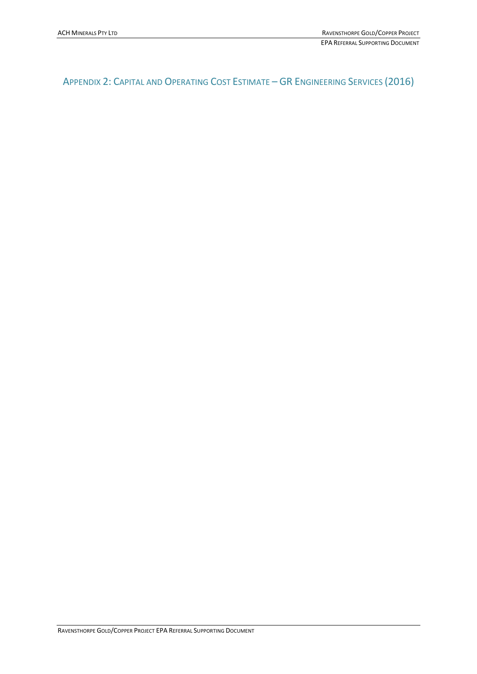# APPENDIX 2: CAPITAL AND OPERATING COST ESTIMATE – GR ENGINEERING SERVICES (2016)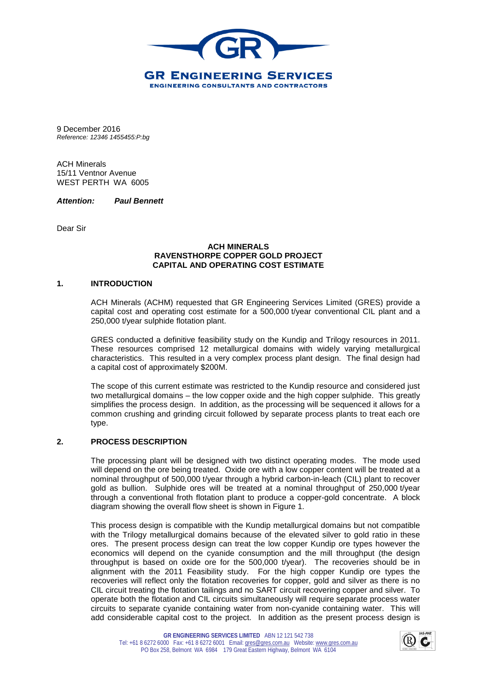

9 December 2016 *Reference: 12346 1455455:P:bg*

ACH Minerals 15/11 Ventnor Avenue WEST PERTH WA 6005

*Attention: Paul Bennett*

Dear Sir

# **ACH MINERALS RAVENSTHORPE COPPER GOLD PROJECT CAPITAL AND OPERATING COST ESTIMATE**

#### **1. INTRODUCTION**

ACH Minerals (ACHM) requested that GR Engineering Services Limited (GRES) provide a capital cost and operating cost estimate for a 500,000 t/year conventional CIL plant and a 250,000 t/year sulphide flotation plant.

GRES conducted a definitive feasibility study on the Kundip and Trilogy resources in 2011. These resources comprised 12 metallurgical domains with widely varying metallurgical characteristics. This resulted in a very complex process plant design. The final design had a capital cost of approximately \$200M.

The scope of this current estimate was restricted to the Kundip resource and considered just two metallurgical domains – the low copper oxide and the high copper sulphide. This greatly simplifies the process design. In addition, as the processing will be sequenced it allows for a common crushing and grinding circuit followed by separate process plants to treat each ore type.

## **2. PROCESS DESCRIPTION**

The processing plant will be designed with two distinct operating modes. The mode used will depend on the ore being treated. Oxide ore with a low copper content will be treated at a nominal throughput of 500,000 t/year through a hybrid carbon-in-leach (CIL) plant to recover gold as bullion. Sulphide ores will be treated at a nominal throughput of 250,000 t/year through a conventional froth flotation plant to produce a copper-gold concentrate. A block diagram showing the overall flow sheet is shown in Figure 1.

This process design is compatible with the Kundip metallurgical domains but not compatible with the Trilogy metallurgical domains because of the elevated silver to gold ratio in these ores. The present process design can treat the low copper Kundip ore types however the economics will depend on the cyanide consumption and the mill throughput (the design throughput is based on oxide ore for the 500,000 t/year). The recoveries should be in alignment with the 2011 Feasibility study. For the high copper Kundip ore types the recoveries will reflect only the flotation recoveries for copper, gold and silver as there is no CIL circuit treating the flotation tailings and no SART circuit recovering copper and silver. To operate both the flotation and CIL circuits simultaneously will require separate process water circuits to separate cyanide containing water from non-cyanide containing water. This will add considerable capital cost to the project. In addition as the present process design is

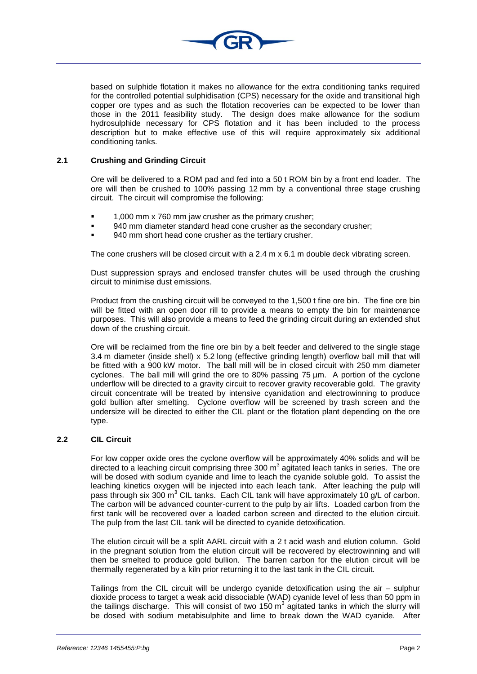

based on sulphide flotation it makes no allowance for the extra conditioning tanks required for the controlled potential sulphidisation (CPS) necessary for the oxide and transitional high copper ore types and as such the flotation recoveries can be expected to be lower than those in the 2011 feasibility study. The design does make allowance for the sodium hydrosulphide necessary for CPS flotation and it has been included to the process description but to make effective use of this will require approximately six additional conditioning tanks.

# **2.1 Crushing and Grinding Circuit**

Ore will be delivered to a ROM pad and fed into a 50 t ROM bin by a front end loader. The ore will then be crushed to 100% passing 12 mm by a conventional three stage crushing circuit. The circuit will compromise the following:

- 1,000 mm x 760 mm jaw crusher as the primary crusher;
- 940 mm diameter standard head cone crusher as the secondary crusher;
- 940 mm short head cone crusher as the tertiary crusher.

The cone crushers will be closed circuit with a 2.4 m x 6.1 m double deck vibrating screen.

Dust suppression sprays and enclosed transfer chutes will be used through the crushing circuit to minimise dust emissions.

Product from the crushing circuit will be conveyed to the 1,500 t fine ore bin. The fine ore bin will be fitted with an open door rill to provide a means to empty the bin for maintenance purposes. This will also provide a means to feed the grinding circuit during an extended shut down of the crushing circuit.

Ore will be reclaimed from the fine ore bin by a belt feeder and delivered to the single stage 3.4 m diameter (inside shell) x 5.2 long (effective grinding length) overflow ball mill that will be fitted with a 900 kW motor. The ball mill will be in closed circuit with 250 mm diameter cyclones. The ball mill will grind the ore to 80% passing 75 µm. A portion of the cyclone underflow will be directed to a gravity circuit to recover gravity recoverable gold. The gravity circuit concentrate will be treated by intensive cyanidation and electrowinning to produce gold bullion after smelting. Cyclone overflow will be screened by trash screen and the undersize will be directed to either the CIL plant or the flotation plant depending on the ore type.

## **2.2 CIL Circuit**

For low copper oxide ores the cyclone overflow will be approximately 40% solids and will be directed to a leaching circuit comprising three 300  $m<sup>3</sup>$  agitated leach tanks in series. The ore will be dosed with sodium cyanide and lime to leach the cyanide soluble gold. To assist the leaching kinetics oxygen will be injected into each leach tank. After leaching the pulp will pass through six 300  $m^3$  CIL tanks. Each CIL tank will have approximately 10 g/L of carbon. The carbon will be advanced counter-current to the pulp by air lifts. Loaded carbon from the first tank will be recovered over a loaded carbon screen and directed to the elution circuit. The pulp from the last CIL tank will be directed to cyanide detoxification.

The elution circuit will be a split AARL circuit with a 2 t acid wash and elution column. Gold in the pregnant solution from the elution circuit will be recovered by electrowinning and will then be smelted to produce gold bullion. The barren carbon for the elution circuit will be thermally regenerated by a kiln prior returning it to the last tank in the CIL circuit.

Tailings from the CIL circuit will be undergo cyanide detoxification using the air – sulphur dioxide process to target a weak acid dissociable (WAD) cyanide level of less than 50 ppm in the tailings discharge. This will consist of two 150  $m^3$  agitated tanks in which the slurry will be dosed with sodium metabisulphite and lime to break down the WAD cyanide. After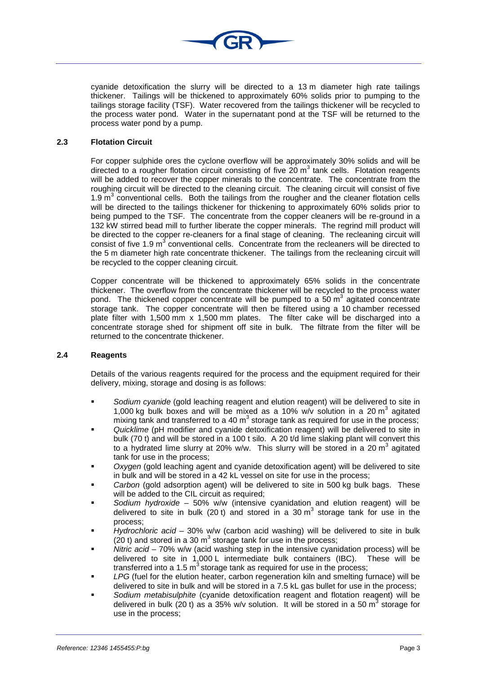

cyanide detoxification the slurry will be directed to a 13 m diameter high rate tailings thickener. Tailings will be thickened to approximately 60% solids prior to pumping to the tailings storage facility (TSF). Water recovered from the tailings thickener will be recycled to the process water pond. Water in the supernatant pond at the TSF will be returned to the process water pond by a pump.

# **2.3 Flotation Circuit**

For copper sulphide ores the cyclone overflow will be approximately 30% solids and will be directed to a rougher flotation circuit consisting of five 20  $m<sup>3</sup>$  tank cells. Flotation reagents will be added to recover the copper minerals to the concentrate. The concentrate from the roughing circuit will be directed to the cleaning circuit. The cleaning circuit will consist of five 1.9  $\mathrm{m}^3$  conventional cells. Both the tailings from the rougher and the cleaner flotation cells will be directed to the tailings thickener for thickening to approximately 60% solids prior to being pumped to the TSF. The concentrate from the copper cleaners will be re-ground in a 132 kW stirred bead mill to further liberate the copper minerals. The regrind mill product will be directed to the copper re-cleaners for a final stage of cleaning. The recleaning circuit will consist of five 1.9  $m^3$  conventional cells. Concentrate from the recleaners will be directed to the 5 m diameter high rate concentrate thickener. The tailings from the recleaning circuit will be recycled to the copper cleaning circuit.

Copper concentrate will be thickened to approximately 65% solids in the concentrate thickener. The overflow from the concentrate thickener will be recycled to the process water pond. The thickened copper concentrate will be pumped to a 50  $m<sup>3</sup>$  agitated concentrate storage tank. The copper concentrate will then be filtered using a 10 chamber recessed plate filter with 1,500 mm x 1,500 mm plates. The filter cake will be discharged into a concentrate storage shed for shipment off site in bulk. The filtrate from the filter will be returned to the concentrate thickener.

#### **2.4 Reagents**

Details of the various reagents required for the process and the equipment required for their delivery, mixing, storage and dosing is as follows:

- *Sodium cyanide* (gold leaching reagent and elution reagent) will be delivered to site in 1,000 kg bulk boxes and will be mixed as a 10% w/v solution in a 20  $m^3$  agitated mixing tank and transferred to a 40  $m<sup>3</sup>$  storage tank as required for use in the process;
- *Quicklime* (pH modifier and cyanide detoxification reagent) will be delivered to site in bulk (70 t) and will be stored in a 100 t silo. A 20 t/d lime slaking plant will convert this to a hydrated lime slurry at 20% w/w. This slurry will be stored in a 20  $m<sup>3</sup>$  agitated tank for use in the process;
- *Oxygen* (gold leaching agent and cyanide detoxification agent) will be delivered to site in bulk and will be stored in a 42 kL vessel on site for use in the process;
- *Carbon* (gold adsorption agent) will be delivered to site in 500 kg bulk bags. These will be added to the CIL circuit as required;
- *Sodium hydroxide* 50% w/w (intensive cyanidation and elution reagent) will be delivered to site in bulk (20 t) and stored in a 30  $m<sup>3</sup>$  storage tank for use in the process;
- *Hydrochloric acid* 30% w/w (carbon acid washing) will be delivered to site in bulk (20 t) and stored in a 30  $m<sup>3</sup>$  storage tank for use in the process;
- *Nitric acid* 70% w/w (acid washing step in the intensive cyanidation process) will be delivered to site in 1,000 L intermediate bulk containers (IBC). These will be transferred into a 1.5  $m^3$  storage tank as required for use in the process;
- *LPG* (fuel for the elution heater, carbon regeneration kiln and smelting furnace) will be delivered to site in bulk and will be stored in a 7.5 kL gas bullet for use in the process;
- *Sodium metabisulphite* (cyanide detoxification reagent and flotation reagent) will be delivered in bulk (20 t) as a 35% w/v solution. It will be stored in a 50  $m^3$  storage for use in the process;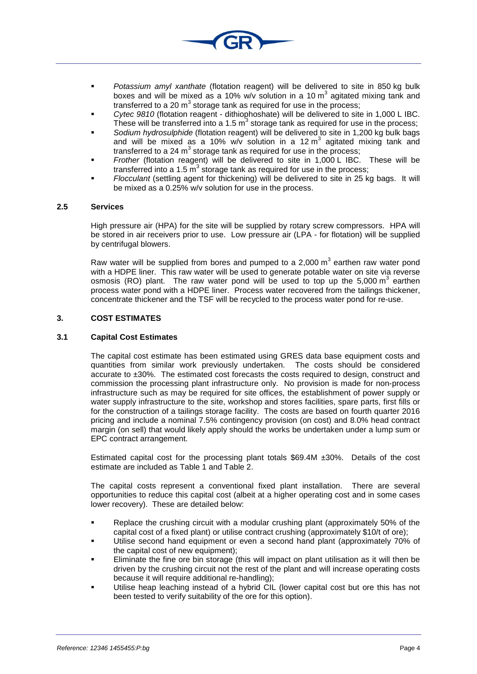- *Potassium amyl xanthate* (flotation reagent) will be delivered to site in 850 kg bulk boxes and will be mixed as a 10% w/v solution in a 10  $m<sup>3</sup>$  agitated mixing tank and transferred to a 20  $m<sup>3</sup>$  storage tank as required for use in the process;
- *Cytec 9810* (flotation reagent dithiophoshate) will be delivered to site in 1,000 L IBC. These will be transferred into a 1.5  $m<sup>3</sup>$  storage tank as required for use in the process;
- *Sodium hydrosulphide* (flotation reagent) will be delivered to site in 1,200 kg bulk bags and will be mixed as a 10% w/v solution in a 12  $\text{m}^3$  agitated mixing tank and transferred to a 24  $m<sup>3</sup>$  storage tank as required for use in the process;
- *Frother* (flotation reagent) will be delivered to site in 1,000 L IBC. These will be transferred into a 1.5  $m^3$  storage tank as required for use in the process;
- *Flocculant* (settling agent for thickening) will be delivered to site in 25 kg bags. It will be mixed as a 0.25% w/v solution for use in the process.

#### **2.5 Services**

High pressure air (HPA) for the site will be supplied by rotary screw compressors. HPA will be stored in air receivers prior to use. Low pressure air (LPA - for flotation) will be supplied by centrifugal blowers.

Raw water will be supplied from bores and pumped to a 2,000  $\text{m}^3$  earthen raw water pond with a HDPE liner. This raw water will be used to generate potable water on site via reverse osmosis (RO) plant. The raw water pond will be used to top up the  $5,000 \text{ m}^3$  earthen process water pond with a HDPE liner. Process water recovered from the tailings thickener, concentrate thickener and the TSF will be recycled to the process water pond for re-use.

# **3. COST ESTIMATES**

## **3.1 Capital Cost Estimates**

The capital cost estimate has been estimated using GRES data base equipment costs and quantities from similar work previously undertaken. The costs should be considered accurate to  $\pm 30\%$ . The estimated cost forecasts the costs required to design, construct and commission the processing plant infrastructure only. No provision is made for non-process infrastructure such as may be required for site offices, the establishment of power supply or water supply infrastructure to the site, workshop and stores facilities, spare parts, first fills or for the construction of a tailings storage facility. The costs are based on fourth quarter 2016 pricing and include a nominal 7.5% contingency provision (on cost) and 8.0% head contract margin (on sell) that would likely apply should the works be undertaken under a lump sum or EPC contract arrangement.

Estimated capital cost for the processing plant totals \$69.4M ±30%. Details of the cost estimate are included as [Table 1](#page-6-0) and [Table 2.](#page-7-0)

The capital costs represent a conventional fixed plant installation. There are several opportunities to reduce this capital cost (albeit at a higher operating cost and in some cases lower recovery). These are detailed below:

- Replace the crushing circuit with a modular crushing plant (approximately 50% of the capital cost of a fixed plant) or utilise contract crushing (approximately \$10/t of ore);
- Utilise second hand equipment or even a second hand plant (approximately 70% of the capital cost of new equipment);
- Eliminate the fine ore bin storage (this will impact on plant utilisation as it will then be driven by the crushing circuit not the rest of the plant and will increase operating costs because it will require additional re-handling);
- Utilise heap leaching instead of a hybrid CIL (lower capital cost but ore this has not been tested to verify suitability of the ore for this option).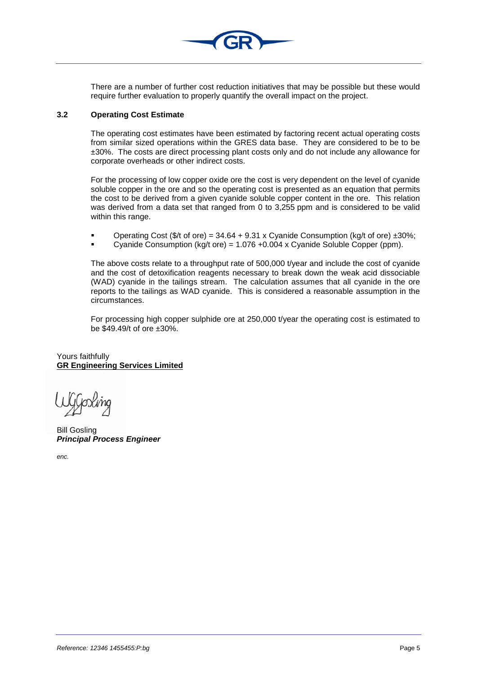

There are a number of further cost reduction initiatives that may be possible but these would require further evaluation to properly quantify the overall impact on the project.

## **3.2 Operating Cost Estimate**

The operating cost estimates have been estimated by factoring recent actual operating costs from similar sized operations within the GRES data base. They are considered to be to be ±30%. The costs are direct processing plant costs only and do not include any allowance for corporate overheads or other indirect costs.

For the processing of low copper oxide ore the cost is very dependent on the level of cyanide soluble copper in the ore and so the operating cost is presented as an equation that permits the cost to be derived from a given cyanide soluble copper content in the ore. This relation was derived from a data set that ranged from 0 to 3,255 ppm and is considered to be valid within this range.

- Operating Cost (\$/t of ore) =  $34.64 + 9.31$  x Cyanide Consumption (kg/t of ore)  $\pm 30\%$ ;
- Cyanide Consumption  $(kq/t ore) = 1.076 + 0.004 \times$  Cyanide Soluble Copper (ppm).

The above costs relate to a throughput rate of 500,000 t/year and include the cost of cyanide and the cost of detoxification reagents necessary to break down the weak acid dissociable (WAD) cyanide in the tailings stream. The calculation assumes that all cyanide in the ore reports to the tailings as WAD cyanide. This is considered a reasonable assumption in the circumstances.

For processing high copper sulphide ore at 250,000 t/year the operating cost is estimated to be \$49.49/t of ore ±30%.

Yours faithfully **GR Engineering Services Limited**

Bill Gosling *Principal Process Engineer*

*enc.*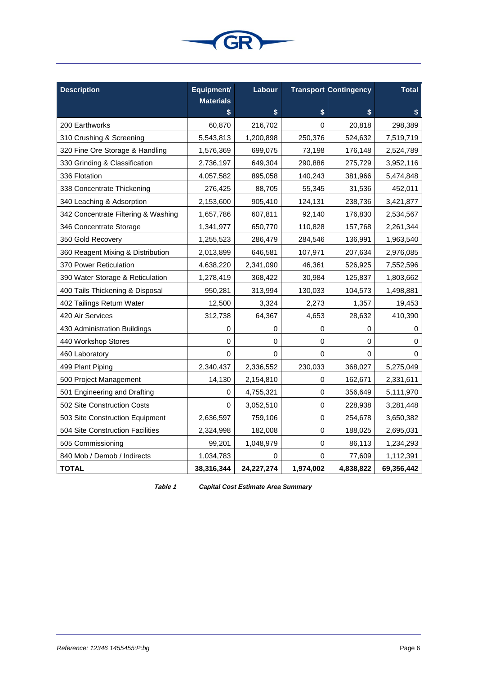

| <b>Description</b>                  | Equipment/             | Labour      |             | <b>Transport Contingency</b> | <b>Total</b> |
|-------------------------------------|------------------------|-------------|-------------|------------------------------|--------------|
|                                     | <b>Materials</b><br>\$ | \$          | \$          | \$                           | \$           |
| 200 Earthworks                      | 60,870                 | 216,702     | 0           | 20,818                       | 298,389      |
| 310 Crushing & Screening            | 5,543,813              | 1,200,898   | 250,376     | 524,632                      | 7,519,719    |
| 320 Fine Ore Storage & Handling     | 1,576,369              | 699,075     | 73,198      | 176,148                      | 2,524,789    |
| 330 Grinding & Classification       | 2,736,197              | 649,304     | 290,886     | 275,729                      | 3,952,116    |
| 336 Flotation                       | 4,057,582              | 895,058     | 140,243     | 381,966                      | 5,474,848    |
| 338 Concentrate Thickening          | 276,425                | 88,705      | 55,345      | 31,536                       | 452,011      |
| 340 Leaching & Adsorption           | 2,153,600              | 905,410     | 124,131     | 238,736                      | 3,421,877    |
| 342 Concentrate Filtering & Washing | 1,657,786              | 607,811     | 92,140      | 176,830                      | 2,534,567    |
| 346 Concentrate Storage             | 1,341,977              | 650,770     | 110,828     | 157,768                      | 2,261,344    |
| 350 Gold Recovery                   | 1,255,523              | 286,479     | 284,546     | 136,991                      | 1,963,540    |
| 360 Reagent Mixing & Distribution   | 2,013,899              | 646,581     | 107,971     | 207,634                      | 2,976,085    |
| 370 Power Reticulation              | 4,638,220              | 2,341,090   | 46,361      | 526,925                      | 7,552,596    |
| 390 Water Storage & Reticulation    | 1,278,419              | 368,422     | 30,984      | 125,837                      | 1,803,662    |
| 400 Tails Thickening & Disposal     | 950,281                | 313,994     | 130,033     | 104,573                      | 1,498,881    |
| 402 Tailings Return Water           | 12,500                 | 3,324       | 2,273       | 1,357                        | 19,453       |
| 420 Air Services                    | 312,738                | 64,367      | 4,653       | 28,632                       | 410,390      |
| 430 Administration Buildings        | 0                      | 0           | 0           | 0                            | 0            |
| 440 Workshop Stores                 | 0                      | 0           | 0           | 0                            | 0            |
| 460 Laboratory                      | 0                      | 0           | 0           | 0                            | 0            |
| 499 Plant Piping                    | 2,340,437              | 2,336,552   | 230,033     | 368,027                      | 5,275,049    |
| 500 Project Management              | 14,130                 | 2,154,810   | 0           | 162,671                      | 2,331,611    |
| 501 Engineering and Drafting        | 0                      | 4,755,321   | $\mathsf 0$ | 356,649                      | 5,111,970    |
| 502 Site Construction Costs         | 0                      | 3,052,510   | 0           | 228,938                      | 3,281,448    |
| 503 Site Construction Equipment     | 2,636,597              | 759,106     | $\mathsf 0$ | 254,678                      | 3,650,382    |
| 504 Site Construction Facilities    | 2,324,998              | 182,008     | 0           | 188,025                      | 2,695,031    |
| 505 Commissioning                   | 99,201                 | 1,048,979   | 0           | 86,113                       | 1,234,293    |
| 840 Mob / Demob / Indirects         | 1,034,783              | 0           | 0           | 77,609                       | 1,112,391    |
| <b>TOTAL</b>                        | 38,316,344             | 24, 27, 274 | 1,974,002   | 4,838,822                    | 69,356,442   |

<span id="page-6-0"></span>**Table 1** *Capital Cost Estimate Area Summary*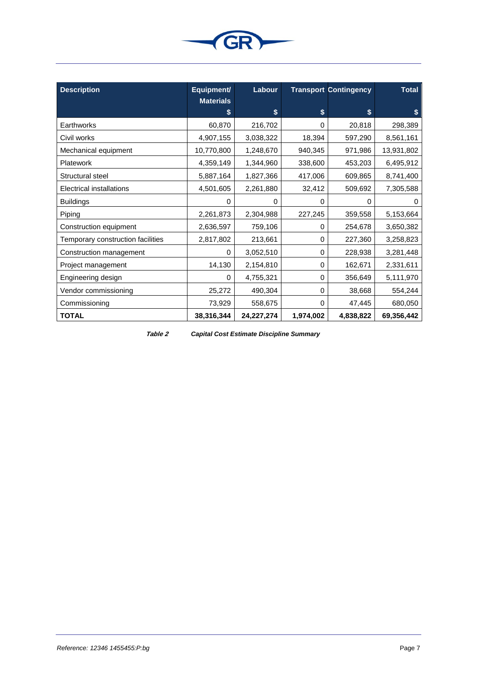

| <b>Description</b>                | Equipment/             | Labour      |           | <b>Transport Contingency</b> | <b>Total</b> |
|-----------------------------------|------------------------|-------------|-----------|------------------------------|--------------|
|                                   | <b>Materials</b><br>\$ | \$          | \$        | \$                           | \$           |
| Earthworks                        | 60,870                 | 216,702     | 0         | 20,818                       | 298,389      |
| Civil works                       | 4,907,155              | 3,038,322   | 18,394    | 597,290                      | 8,561,161    |
| Mechanical equipment              | 10,770,800             | 1,248,670   | 940,345   | 971,986                      | 13,931,802   |
| <b>Platework</b>                  | 4,359,149              | 1,344,960   | 338,600   | 453,203                      | 6,495,912    |
| Structural steel                  | 5,887,164              | 1,827,366   | 417,006   | 609,865                      | 8,741,400    |
| Electrical installations          | 4,501,605              | 2,261,880   | 32,412    | 509,692                      | 7,305,588    |
| <b>Buildings</b>                  | 0                      | 0           | 0         | $\Omega$                     | $\Omega$     |
| Piping                            | 2,261,873              | 2,304,988   | 227,245   | 359,558                      | 5,153,664    |
| Construction equipment            | 2,636,597              | 759,106     | 0         | 254,678                      | 3,650,382    |
| Temporary construction facilities | 2,817,802              | 213,661     | 0         | 227,360                      | 3,258,823    |
| Construction management           | 0                      | 3,052,510   | 0         | 228,938                      | 3,281,448    |
| Project management                | 14,130                 | 2,154,810   | 0         | 162,671                      | 2,331,611    |
| Engineering design                | 0                      | 4,755,321   | 0         | 356,649                      | 5,111,970    |
| Vendor commissioning              | 25,272                 | 490,304     | 0         | 38,668                       | 554,244      |
| Commissioning                     | 73,929                 | 558,675     | 0         | 47,445                       | 680,050      |
| <b>TOTAL</b>                      | 38,316,344             | 24, 27, 274 | 1,974,002 | 4,838,822                    | 69,356,442   |

<span id="page-7-0"></span>

**Table 2** *Capital Cost Estimate Discipline Summary*